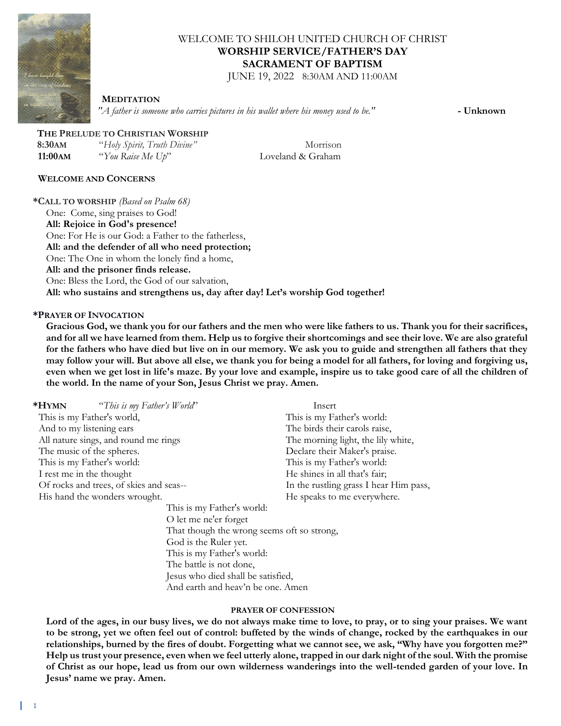

# WELCOME TO SHILOH UNITED CHURCH OF CHRIST **WORSHIP SERVICE/FATHER'S DAY SACRAMENT OF BAPTISM**

JUNE 19, 2022 8:30AM AND 11:00AM

#### **MEDITATION**

*"A father is someone who carries pictures in his wallet where his money used to be."* **- Unknown**

## **THE PRELUDE TO CHRISTIAN WORSHIP**

 **8:30AM** "*Holy Spirit, Truth Divine"* Morrison **11:00AM** "*You Raise Me Up*" Loveland & Graham

### **WELCOME AND CONCERNS**

**\*CALL TO WORSHIP** *(Based on Psalm 68)* One: Come, sing praises to God! **All: Rejoice in God's presence!** One: For He is our God: a Father to the fatherless, **All: and the defender of all who need protection;** One: The One in whom the lonely find a home, **All: and the prisoner finds release.** One: Bless the Lord, the God of our salvation, **All: who sustains and strengthens us, day after day! Let's worship God together!**

### **\*PRAYER OF INVOCATION**

**Gracious God, we thank you for our fathers and the men who were like fathers to us. Thank you for their sacrifices, and for all we have learned from them. Help us to forgive their shortcomings and see their love. We are also grateful for the fathers who have died but live on in our memory. We ask you to guide and strengthen all fathers that they may follow your will. But above all else, we thank you for being a model for all fathers, for loving and forgiving us, even when we get lost in life's maze. By your love and example, inspire us to take good care of all the children of the world. In the name of your Son, Jesus Christ we pray. Amen.**

| *HYMN<br>"This is my Father's World"    |                                            | Insert                                 |
|-----------------------------------------|--------------------------------------------|----------------------------------------|
| This is my Father's world,              |                                            | This is my Father's world:             |
| And to my listening ears                |                                            | The birds their carols raise,          |
| All nature sings, and round me rings    |                                            | The morning light, the lily white,     |
| The music of the spheres.               |                                            | Declare their Maker's praise.          |
| This is my Father's world:              |                                            | This is my Father's world:             |
| I rest me in the thought                |                                            | He shines in all that's fair;          |
| Of rocks and trees, of skies and seas-- |                                            | In the rustling grass I hear Him pass, |
| His hand the wonders wrought.           |                                            | He speaks to me everywhere.            |
|                                         | This is my Father's world:                 |                                        |
|                                         | O let me ne'er forget                      |                                        |
|                                         | That though the wrong seems oft so strong, |                                        |
|                                         | God is the Ruler yet.                      |                                        |
|                                         | This is my Father's world:                 |                                        |
|                                         | The battle is not done,                    |                                        |
|                                         | Jesus who died shall be satisfied,         |                                        |

And earth and heav'n be one. Amen

### **PRAYER OF CONFESSION**

Lord of the ages, in our busy lives, we do not always make time to love, to pray, or to sing your praises. We want **to be strong, yet we often feel out of control: buffeted by the winds of change, rocked by the earthquakes in our relationships, burned by the fires of doubt. Forgetting what we cannot see, we ask, "Why have you forgotten me?" Help us trust your presence, even when we feel utterly alone, trapped in our dark night of the soul. With the promise of Christ as our hope, lead us from our own wilderness wanderings into the well-tended garden of your love. In Jesus' name we pray. Amen.**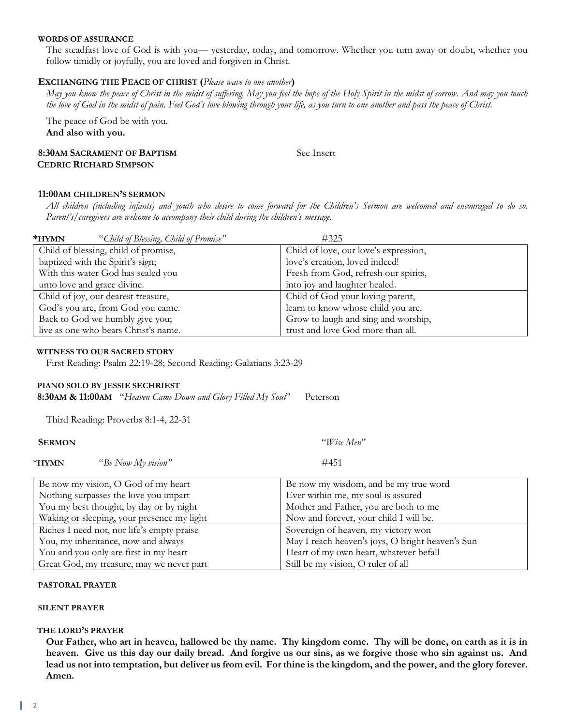#### **WORDS OF ASSURANCE**

The steadfast love of God is with you— yesterday, today, and tomorrow. Whether you turn away or doubt, whether you follow timidly or joyfully, you are loved and forgiven in Christ.

### **EXCHANGING THE PEACE OF CHRIST (***Please wave to one another***)**

*May you know the peace of Christ in the midst of suffering. May you feel the hope of the Holy Spirit in the midst of sorrow. And may you touch the love of God in the midst of pain. Feel God's love blowing through your life, as you turn to one another and pass the peace of Christ.*

The peace of God be with you. **And also with you.**

### **8:30AM SACRAMENT OF BAPTISM** See Insert  **CEDRIC RICHARD SIMPSON**

#### **11:00AM CHILDREN'S SERMON**

*All children (including infants) and youth who desire to come forward for the Children's Sermon are welcomed and encouraged to do so. Parent's/caregivers are welcome to accompany their child during the children's message.*

| *HYMN | "Child of Blessing, Child of Promise" | #325                                  |
|-------|---------------------------------------|---------------------------------------|
|       | Child of blessing, child of promise,  | Child of love, our love's expression, |
|       | baptized with the Spirit's sign;      | love's creation, loved indeed!        |
|       | With this water God has sealed you    | Fresh from God, refresh our spirits,  |
|       | unto love and grace divine.           | into joy and laughter healed.         |
|       | Child of joy, our dearest treasure,   | Child of God your loving parent,      |
|       | God's you are, from God you came.     | learn to know whose child you are.    |
|       | Back to God we humbly give you;       | Grow to laugh and sing and worship,   |
|       | live as one who bears Christ's name.  | trust and love God more than all.     |

#### **WITNESS TO OUR SACRED STORY**

First Reading: Psalm 22:19-28; Second Reading: Galatians 3:23-29

## **PIANO SOLO BY JESSIE SECHRIEST**

 **8:30AM & 11:00AM** "*Heaven Came Down and Glory Filled My Soul*" Peterson

Third Reading: Proverbs 8:1-4, 22-31

You and you only are first in my heart Great God, my treasure, may we never part

| <b>SERMON</b>                              | "Wise Men"                                       |
|--------------------------------------------|--------------------------------------------------|
| $*$ HYMN<br>"Be Now My vision"             | #451                                             |
| Be now my vision, O God of my heart        | Be now my wisdom, and be my true word            |
| Nothing surpasses the love you impart      | Ever within me, my soul is assured               |
| You my best thought, by day or by night    | Mother and Father, you are both to me            |
| Waking or sleeping, your presence my light | Now and forever, your child I will be.           |
| Riches I need not, nor life's empty praise | Sovereign of heaven, my victory won              |
| You, my inheritance, now and always        | May I reach heaven's joys, O bright heaven's Sun |

#### **PASTORAL PRAYER**

#### **SILENT PRAYER**

#### **THE LORD'S PRAYER**

**Our Father, who art in heaven, hallowed be thy name. Thy kingdom come. Thy will be done, on earth as it is in heaven. Give us this day our daily bread. And forgive us our sins, as we forgive those who sin against us. And lead us not into temptation, but deliver us from evil. For thine is the kingdom, and the power, and the glory forever. Amen.**

Heart of my own heart, whatever befall

Still be my vision, O ruler of all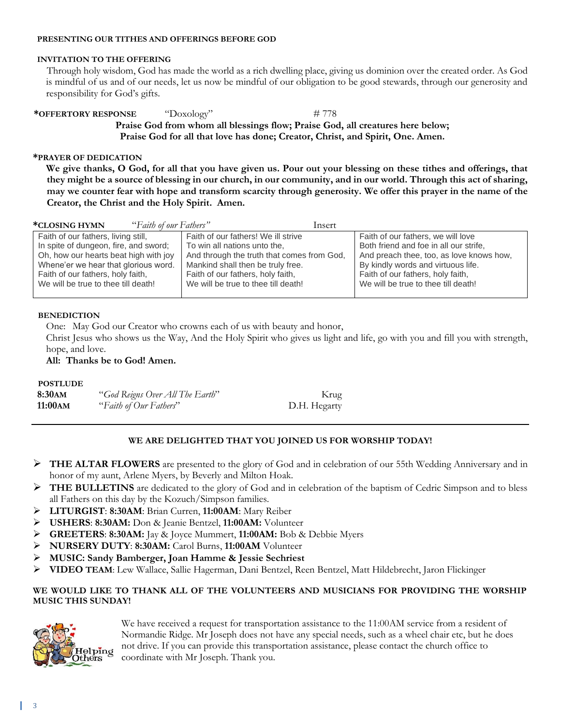#### **PRESENTING OUR TITHES AND OFFERINGS BEFORE GOD**

### **INVITATION TO THE OFFERING**

Through holy wisdom, God has made the world as a rich dwelling place, giving us dominion over the created order. As God is mindful of us and of our needs, let us now be mindful of our obligation to be good stewards, through our generosity and responsibility for God's gifts.

**\*OFFERTORY RESPONSE** "Doxology" # 778 **Praise God from whom all blessings flow; Praise God, all creatures here below; Praise God for all that love has done; Creator, Christ, and Spirit, One. Amen.**

### **\*PRAYER OF DEDICATION**

**We give thanks, O God, for all that you have given us. Pour out your blessing on these tithes and offerings, that they might be a source of blessing in our church, in our community, and in our world. Through this act of sharing, may we counter fear with hope and transform scarcity through generosity. We offer this prayer in the name of the Creator, the Christ and the Holy Spirit. Amen.**

| "Faith of our Fathers"<br>*CLOSING HYMN | Insert                                     |                                          |
|-----------------------------------------|--------------------------------------------|------------------------------------------|
| Faith of our fathers, living still,     | Faith of our fathers! We ill strive        | Faith of our fathers, we will love       |
| In spite of dungeon, fire, and sword;   | To win all nations unto the,               | Both friend and foe in all our strife,   |
| Oh, how our hearts beat high with joy   | And through the truth that comes from God, | And preach thee, too, as love knows how, |
| Whene'er we hear that glorious word.    | Mankind shall then be truly free.          | By kindly words and virtuous life.       |
| Faith of our fathers, holy faith,       | Faith of our fathers, holy faith,          | Faith of our fathers, holy faith,        |
| We will be true to thee till death!     | We will be true to thee till death!        | We will be true to thee till death!      |
|                                         |                                            |                                          |

### **BENEDICTION**

One: May God our Creator who crowns each of us with beauty and honor,

Christ Jesus who shows us the Way, And the Holy Spirit who gives us light and life, go with you and fill you with strength, hope, and love.

**All: Thanks be to God! Amen.**

### **POSTLUDE**

| 8:30am  | "God Reigns Over All The Earth" | Krug         |
|---------|---------------------------------|--------------|
| 11:00AM | "Faith of Our Fathers"          | D.H. Hegarty |

## **WE ARE DELIGHTED THAT YOU JOINED US FOR WORSHIP TODAY!**

- ➢ **THE ALTAR FLOWERS** are presented to the glory of God and in celebration of our 55th Wedding Anniversary and in honor of my aunt, Arlene Myers, by Beverly and Milton Hoak.
- ➢ **THE BULLETINS** are dedicated to the glory of God and in celebration of the baptism of Cedric Simpson and to bless all Fathers on this day by the Kozuch/Simpson families.
- ➢ **LITURGIST**: **8:30AM**: Brian Curren, **11:00AM**: Mary Reiber
- ➢ **USHERS**: **8:30AM:** Don & Jeanie Bentzel, **11:00AM:** Volunteer
- ➢ **GREETERS**: **8:30AM:** Jay & Joyce Mummert, **11:00AM:** Bob & Debbie Myers
- ➢ **NURSERY DUTY**: **8:30AM:** Carol Burns, **11:00AM** Volunteer
- ➢ **MUSIC: Sandy Bamberger, Joan Hamme & Jessie Sechriest**
- ➢ **VIDEO TEAM**: Lew Wallace, Sallie Hagerman, Dani Bentzel, Reen Bentzel, Matt Hildebrecht, Jaron Flickinger

### **WE WOULD LIKE TO THANK ALL OF THE VOLUNTEERS AND MUSICIANS FOR PROVIDING THE WORSHIP MUSIC THIS SUNDAY!**



We have received a request for transportation assistance to the 11:00AM service from a resident of Normandie Ridge. Mr Joseph does not have any special needs, such as a wheel chair etc, but he does not drive. If you can provide this transportation assistance, please contact the church office to coordinate with Mr Joseph. Thank you.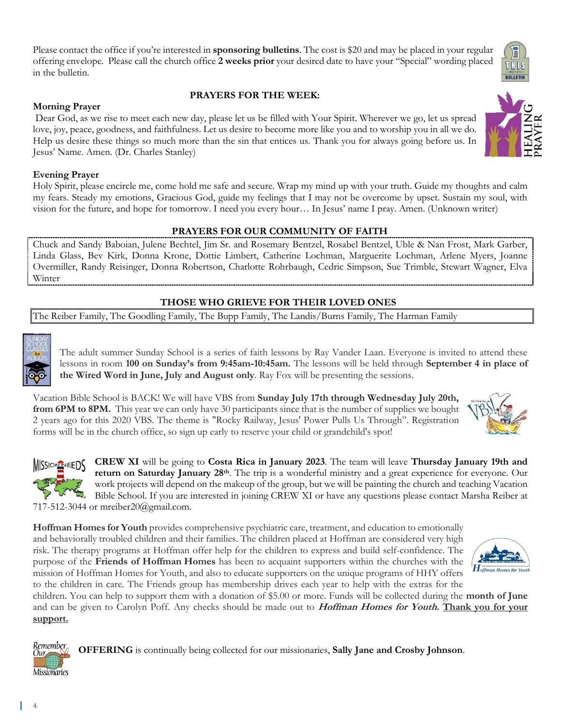Please contact the office if you're interested in **sponsoring bulletins**. The cost is \$20 and may be placed in your regular offering envelope. Please call the church office **2 weeks prior** your desired date to have your "Special" wording placed in the bulletin.

### **PRAYERS FOR THE WEEK:**

Dear God, as we rise to meet each new day, please let us be filled with Your Spirit. Wherever we go, let us spread love, joy, peace, goodness, and faithfulness. Let us desire to become more like you and to worship you in all we do. Help us desire these things so much more than the sin that entices us. Thank you for always going before us. In Jesus' Name. Amen. (Dr. Charles Stanley)

### **Evening Prayer**

**Morning Prayer**

Holy Spirit, please encircle me, come hold me safe and secure. Wrap my mind up with your truth. Guide my thoughts and calm my fears. Steady my emotions, Gracious God, guide my feelings that I may not be overcome by upset. Sustain my soul, with vision for the future, and hope for tomorrow. I need you every hour… In Jesus' name I pray. Amen. (Unknown writer)

### **PRAYERS FOR OUR COMMUNITY OF FAITH**

Chuck and Sandy Baboian, Julene Bechtel, Jim Sr. and Rosemary Bentzel, Rosabel Bentzel, Uble & Nan Frost, Mark Garber, Linda Glass, Bev Kirk, Donna Krone, Dottie Limbert, Catherine Lochman, Marguerite Lochman, Arlene Myers, Joanne Overmiller, Randy Reisinger, Donna Robertson, Charlotte Rohrbaugh, Cedric Simpson, Sue Trimble, Stewart Wagner, Elva Winter

# **THOSE WHO GRIEVE FOR THEIR LOVED ONES**

The Reiber Family, The Goodling Family, The Bupp Family, The Landis/Burns Family, The Harman Family

The adult summer Sunday School is a series of faith lessons by Ray Vander Laan. Everyone is invited to attend these lessons in room **100 on Sunday's from 9:45am-10:45am.** The lessons will be held through **September 4 in place of the Wired Word in June, July and August only**. Ray Fox will be presenting the sessions.

Vacation Bible School is BACK! We will have VBS from **Sunday July 17th through Wednesday July 20th, from 6PM to 8PM.** This year we can only have 30 participants since that is the number of supplies we bought 2 years ago for this 2020 VBS. The theme is "Rocky Railway, Jesus' Power Pulls Us Through". Registration forms will be in the church office, so sign up early to reserve your child or grandchild's spot!

**CREW XI** will be going to **Costa Rica in January 2023**. The team will leave **Thursday January 19th and**  SSION REEDS **return on Saturday January 28th**. The trip is a wonderful ministry and a great experience for everyone. Our work projects will depend on the makeup of the group, but we will be painting the church and teaching Vacation Bible School. If you are interested in joining CREW XI or have any questions please contact Marsha Reiber at 717-512-3044 or mreiber20@gmail.com.

**Hoffman Homes for Youth** provides comprehensive psychiatric care, treatment, and education to emotionally and behaviorally troubled children and their families. The children placed at Hoffman are considered very high risk. The therapy programs at Hoffman offer help for the children to express and build self-confidence. The purpose of the **Friends of Hoffman Homes** has been to acquaint supporters within the churches with the mission of Hoffman Homes for Youth, and also to educate supporters on the unique programs of HHY offers to the children in care. The Friends group has membership drives each year to help with the extras for the

children. You can help to support them with a donation of \$5.00 or more. Funds will be collected during the **month of June** and can be given to Carolyn Poff. Any checks should be made out to **Hoffman Homes for Youth. Thank you for your support.**

**OFFERING** is continually being collected for our missionaries, **Sally Jane and Crosby Johnson**.

Remember

**Missionaries**